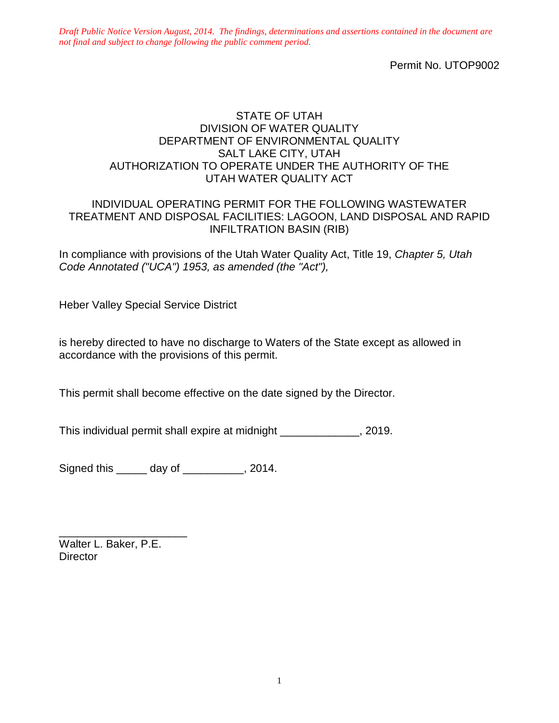Permit No. UTOP9002

### STATE OF UTAH DIVISION OF WATER QUALITY DEPARTMENT OF ENVIRONMENTAL QUALITY SALT LAKE CITY, UTAH AUTHORIZATION TO OPERATE UNDER THE AUTHORITY OF THE UTAH WATER QUALITY ACT

### INDIVIDUAL OPERATING PERMIT FOR THE FOLLOWING WASTEWATER TREATMENT AND DISPOSAL FACILITIES: LAGOON, LAND DISPOSAL AND RAPID INFILTRATION BASIN (RIB)

In compliance with provisions of the Utah Water Quality Act, Title 19, *Chapter 5, Utah Code Annotated ("UCA") 1953, as amended (the "Act"),*

Heber Valley Special Service District

is hereby directed to have no discharge to Waters of the State except as allowed in accordance with the provisions of this permit.

This permit shall become effective on the date signed by the Director.

This individual permit shall expire at midnight \_\_\_\_\_\_\_\_\_\_\_\_\_, 2019.

Signed this day of the set of the set of the Signed this day of the set of the set of the Signed Signal Signal

\_\_\_\_\_\_\_\_\_\_\_\_\_\_\_\_\_\_\_\_\_ Walter L. Baker, P.E. **Director**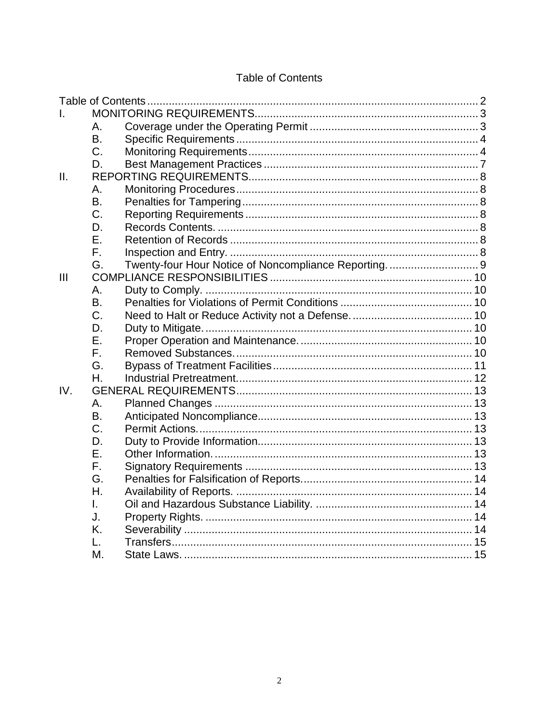# **Table of Contents**

| L              |           |  |  |
|----------------|-----------|--|--|
|                | Α.        |  |  |
|                | Β.        |  |  |
|                | C.        |  |  |
|                | D.        |  |  |
| II.            |           |  |  |
|                | Α.        |  |  |
|                | B.        |  |  |
|                | C.        |  |  |
|                | D.        |  |  |
|                | Ε.        |  |  |
|                | F.        |  |  |
|                | G.        |  |  |
| $\mathbf{III}$ |           |  |  |
|                | Α.        |  |  |
|                | <b>B.</b> |  |  |
|                | C.        |  |  |
|                | D.        |  |  |
|                | Е.        |  |  |
|                | F.        |  |  |
|                | G.        |  |  |
|                | Η.        |  |  |
| IV.            |           |  |  |
|                | А.        |  |  |
|                | B.        |  |  |
|                | C.        |  |  |
|                | D.        |  |  |
|                | Ε.        |  |  |
|                | F.        |  |  |
|                | G.        |  |  |
|                | Η.        |  |  |
|                | L         |  |  |
|                | J.        |  |  |
|                | K.        |  |  |
|                |           |  |  |
|                | М.        |  |  |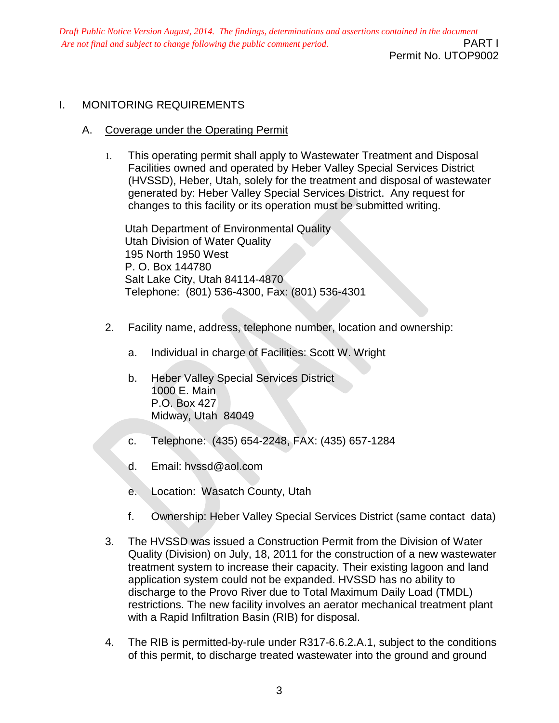Permit No. UTOP9002

# I. MONITORING REQUIREMENTS

#### A. Coverage under the Operating Permit

1. This operating permit shall apply to Wastewater Treatment and Disposal Facilities owned and operated by Heber Valley Special Services District (HVSSD), Heber, Utah, solely for the treatment and disposal of wastewater generated by: Heber Valley Special Services District. Any request for changes to this facility or its operation must be submitted writing.

Utah Department of Environmental Quality Utah Division of Water Quality 195 North 1950 West P. O. Box 144780 Salt Lake City, Utah 84114-4870 Telephone: (801) 536-4300, Fax: (801) 536-4301

- 2. Facility name, address, telephone number, location and ownership:
	- a. Individual in charge of Facilities: Scott W. Wright
	- b. Heber Valley Special Services District 1000 E. Main P.O. Box 427 Midway, Utah 84049
	- c. Telephone: (435) 654-2248, FAX: (435) 657-1284
	- d. Email: hvssd@aol.com
	- e. Location: Wasatch County, Utah
	- f. Ownership: Heber Valley Special Services District (same contact data)
- 3. The HVSSD was issued a Construction Permit from the Division of Water Quality (Division) on July, 18, 2011 for the construction of a new wastewater treatment system to increase their capacity. Their existing lagoon and land application system could not be expanded. HVSSD has no ability to discharge to the Provo River due to Total Maximum Daily Load (TMDL) restrictions. The new facility involves an aerator mechanical treatment plant with a Rapid Infiltration Basin (RIB) for disposal.
- 4. The RIB is permitted-by-rule under R317-6.6.2.A.1, subject to the conditions of this permit, to discharge treated wastewater into the ground and ground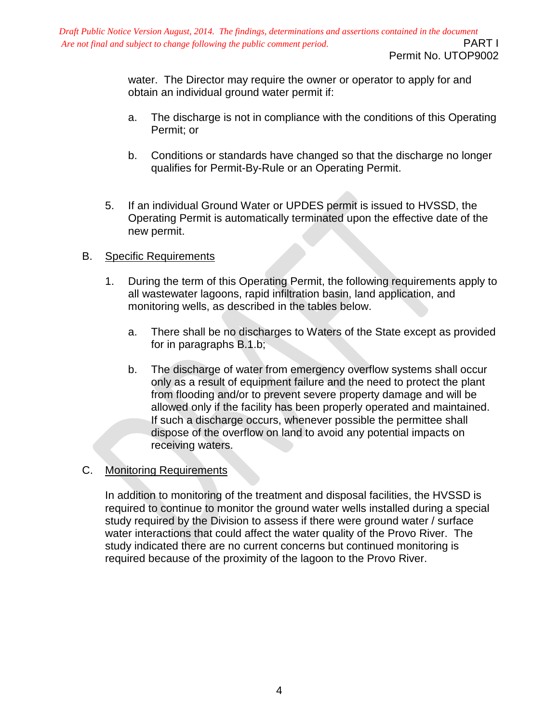Permit No. UTOP9002

water. The Director may require the owner or operator to apply for and obtain an individual ground water permit if:

- a. The discharge is not in compliance with the conditions of this Operating Permit; or
- b. Conditions or standards have changed so that the discharge no longer qualifies for Permit-By-Rule or an Operating Permit.
- 5. If an individual Ground Water or UPDES permit is issued to HVSSD, the Operating Permit is automatically terminated upon the effective date of the new permit.

### B. Specific Requirements

- 1. During the term of this Operating Permit, the following requirements apply to all wastewater lagoons, rapid infiltration basin, land application, and monitoring wells, as described in the tables below.
	- a. There shall be no discharges to Waters of the State except as provided for in paragraphs B.1.b;
	- b. The discharge of water from emergency overflow systems shall occur only as a result of equipment failure and the need to protect the plant from flooding and/or to prevent severe property damage and will be allowed only if the facility has been properly operated and maintained. If such a discharge occurs, whenever possible the permittee shall dispose of the overflow on land to avoid any potential impacts on receiving waters.

### C. Monitoring Requirements

In addition to monitoring of the treatment and disposal facilities, the HVSSD is required to continue to monitor the ground water wells installed during a special study required by the Division to assess if there were ground water / surface water interactions that could affect the water quality of the Provo River. The study indicated there are no current concerns but continued monitoring is required because of the proximity of the lagoon to the Provo River.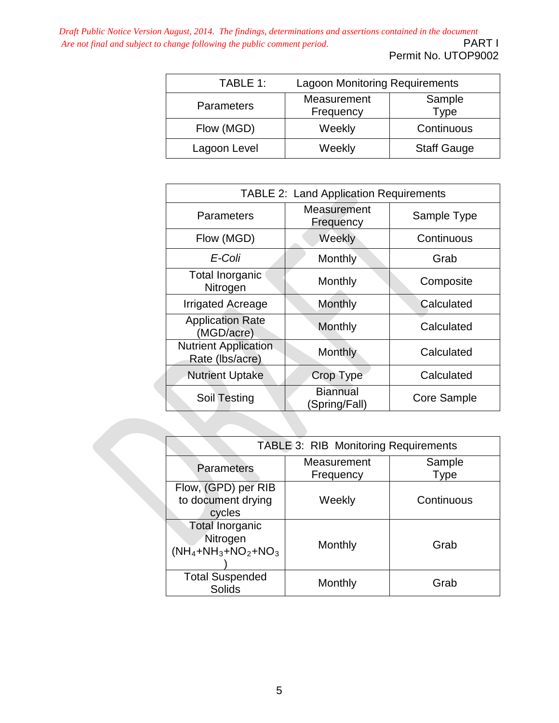*Draft Public Notice Version August, 2014. The findings, determinations and assertions contained in the document*<br>*Are not final and subject to change following the public comment period.* Are not final and subject to change following the public comment period.

Permit No. UTOP9002

| TABLE 1:          | <b>Lagoon Monitoring Requirements</b> |                    |
|-------------------|---------------------------------------|--------------------|
| <b>Parameters</b> | Measurement<br>Frequency              | Sample<br>Type     |
| Flow (MGD)        | Weekly                                | Continuous         |
| Lagoon Level      | Weekly                                | <b>Staff Gauge</b> |

| <b>TABLE 2: Land Application Requirements</b>  |                                  |             |  |
|------------------------------------------------|----------------------------------|-------------|--|
| Parameters                                     | Measurement<br>Frequency         | Sample Type |  |
| Flow (MGD)                                     | Weekly                           | Continuous  |  |
| E-Coli                                         | Monthly                          | Grab        |  |
| Total Inorganic<br>Nitrogen                    | Monthly                          | Composite   |  |
| <b>Irrigated Acreage</b>                       | Monthly                          | Calculated  |  |
| <b>Application Rate</b><br>(MGD/acre)          | Monthly                          | Calculated  |  |
| <b>Nutrient Application</b><br>Rate (Ibs/acre) | Monthly                          | Calculated  |  |
| <b>Nutrient Uptake</b>                         | Crop Type                        | Calculated  |  |
| Soil Testing                                   | <b>Biannual</b><br>(Spring/Fall) | Core Sample |  |

| TABLE 3: RIB Monitoring Requirements                                |                          |                |  |
|---------------------------------------------------------------------|--------------------------|----------------|--|
| <b>Parameters</b>                                                   | Measurement<br>Frequency | Sample<br>Type |  |
| Flow, (GPD) per RIB<br>to document drying<br>cycles                 | Weekly                   | Continuous     |  |
| <b>Total Inorganic</b><br>Nitrogen<br>$(NH_4 + NH_3 + NO_2 + NO_3)$ | Monthly                  | Grab           |  |
| <b>Total Suspended</b><br><b>Solids</b>                             | Monthly                  | Grab           |  |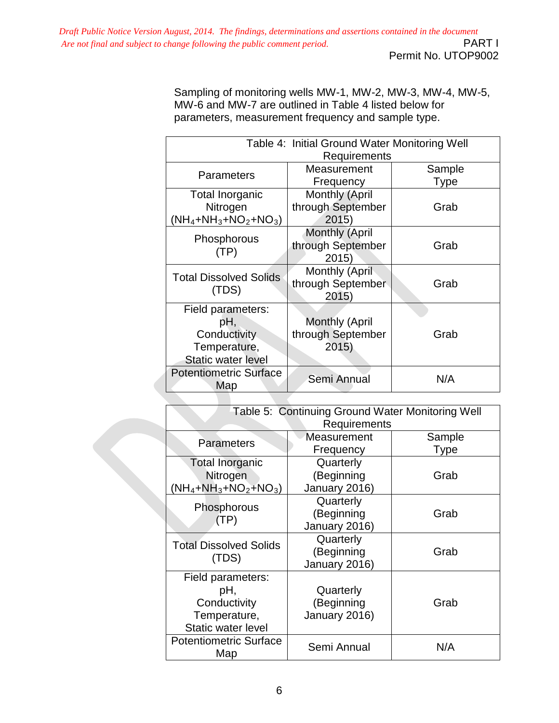Sampling of monitoring wells MW-1, MW-2, MW-3, MW-4, MW-5, MW-6 and MW-7 are outlined in Table 4 listed below for parameters, measurement frequency and sample type.

| Table 4: Initial Ground Water Monitoring Well |                       |             |  |
|-----------------------------------------------|-----------------------|-------------|--|
| Requirements                                  |                       |             |  |
| <b>Parameters</b>                             | Measurement           | Sample      |  |
|                                               | Frequency             | <b>Type</b> |  |
| Total Inorganic                               | Monthly (April        |             |  |
| Nitrogen                                      | through September     | Grab        |  |
| $(NH_4 + NH_3 + NO_2 + NO_3)$                 | 2015                  |             |  |
| <b>Phosphorous</b>                            | Monthly (April        |             |  |
| (TP)                                          | through September     | Grab        |  |
|                                               | 2015)                 |             |  |
| <b>Total Dissolved Solids</b>                 | Monthly (April        |             |  |
| (TDS)                                         | through September     | Grab        |  |
|                                               | 2015)                 |             |  |
| Field parameters:                             |                       |             |  |
| pΗ,                                           | <b>Monthly (April</b> |             |  |
| Conductivity                                  | through September     | Grab        |  |
| Temperature,                                  | 2015)                 |             |  |
| <b>Static water level</b>                     |                       |             |  |
| <b>Potentiometric Surface</b>                 | Semi Annual           | N/A         |  |
| Map                                           |                       |             |  |

| Table 5: Continuing Ground Water Monitoring Well |               |             |  |
|--------------------------------------------------|---------------|-------------|--|
| Requirements                                     |               |             |  |
| <b>Parameters</b>                                | Measurement   | Sample      |  |
|                                                  | Frequency     | <b>Type</b> |  |
| <b>Total Inorganic</b>                           | Quarterly     |             |  |
| Nitrogen                                         | (Beginning    | Grab        |  |
| $(NH_4 + NH_3 + NO_2 + NO_3)$                    | January 2016) |             |  |
| Phosphorous                                      | Quarterly     |             |  |
| (TP)                                             | (Beginning    | Grab        |  |
|                                                  | January 2016) |             |  |
| <b>Total Dissolved Solids</b>                    | Quarterly     |             |  |
| (TDS)                                            | (Beginning    | Grab        |  |
|                                                  | January 2016) |             |  |
| Field parameters:                                |               |             |  |
| рH,                                              | Quarterly     |             |  |
| Conductivity                                     | (Beginning    | Grab        |  |
| Temperature,                                     | January 2016) |             |  |
| Static water level                               |               |             |  |
| <b>Potentiometric Surface</b>                    | Semi Annual   | N/A         |  |
| Map                                              |               |             |  |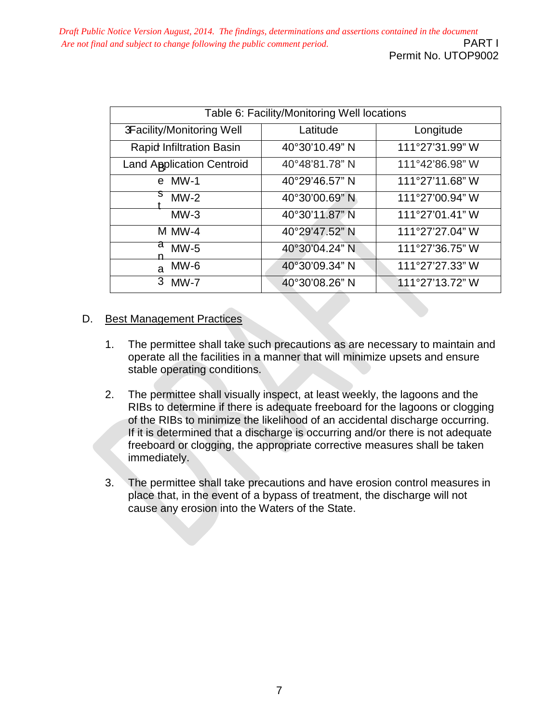| Table 6: Facility/Monitoring Well locations |                |                 |  |
|---------------------------------------------|----------------|-----------------|--|
| 3Facility/Monitoring Well                   | Latitude       | Longitude       |  |
| <b>Rapid Infiltration Basin</b>             | 40°30'10.49" N | 111°27'31.99" W |  |
| <b>Land Application Centroid</b>            | 40°48'81.78" N | 111°42'86.98" W |  |
| $MW-1$<br>e <sub>1</sub>                    | 40°29'46.57" N | 111°27'11.68" W |  |
| $MW-2$                                      | 40°30'00.69" N | 111°27'00.94" W |  |
| $MW-3$                                      | 40°30'11.87" N | 111°27'01.41" W |  |
| M MW-4                                      | 40°29'47.52" N | 111°27'27.04" W |  |
| d<br>$MW-5$                                 | 40°30'04.24" N | 111°27'36.75" W |  |
| $MW-6$<br>a                                 | 40°30'09.34" N | 111°27'27.33" W |  |
| 3<br>$MW-7$                                 | 40°30'08.26" N | 111°27'13.72" W |  |

# D. Best Management Practices

- 1. The permittee shall take such precautions as are necessary to maintain and operate all the facilities in a manner that will minimize upsets and ensure stable operating conditions.
- 2. The permittee shall visually inspect, at least weekly, the lagoons and the RIBs to determine if there is adequate freeboard for the lagoons or clogging of the RIBs to minimize the likelihood of an accidental discharge occurring. If it is determined that a discharge is occurring and/or there is not adequate freeboard or clogging, the appropriate corrective measures shall be taken immediately.
- 3. The permittee shall take precautions and have erosion control measures in place that, in the event of a bypass of treatment, the discharge will not cause any erosion into the Waters of the State.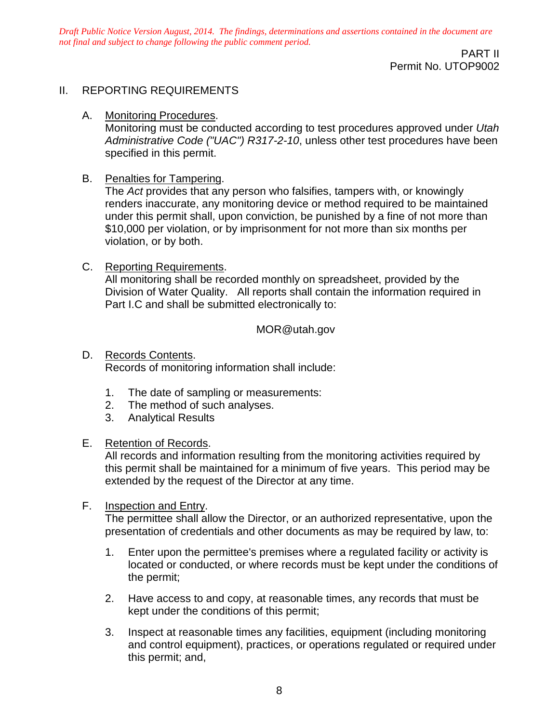> PART II Permit No. UTOP9002

### II. REPORTING REQUIREMENTS

A. Monitoring Procedures.

Monitoring must be conducted according to test procedures approved under *Utah Administrative Code ("UAC") R317-2-10*, unless other test procedures have been specified in this permit.

B. Penalties for Tampering.

The *Act* provides that any person who falsifies, tampers with, or knowingly renders inaccurate, any monitoring device or method required to be maintained under this permit shall, upon conviction, be punished by a fine of not more than \$10,000 per violation, or by imprisonment for not more than six months per violation, or by both.

C. Reporting Requirements. All monitoring shall be recorded monthly on spreadsheet, provided by the Division of Water Quality. All reports shall contain the information required in Part I.C and shall be submitted electronically to:

#### MOR@utah.gov

- D. Records Contents. Records of monitoring information shall include:
	- 1. The date of sampling or measurements:
	- 2. The method of such analyses.
	- 3. Analytical Results

#### E. Retention of Records.

All records and information resulting from the monitoring activities required by this permit shall be maintained for a minimum of five years. This period may be extended by the request of the Director at any time.

#### F. **Inspection and Entry.**

The permittee shall allow the Director, or an authorized representative, upon the presentation of credentials and other documents as may be required by law, to:

- 1. Enter upon the permittee's premises where a regulated facility or activity is located or conducted, or where records must be kept under the conditions of the permit;
- 2. Have access to and copy, at reasonable times, any records that must be kept under the conditions of this permit;
- 3. Inspect at reasonable times any facilities, equipment (including monitoring and control equipment), practices, or operations regulated or required under this permit; and,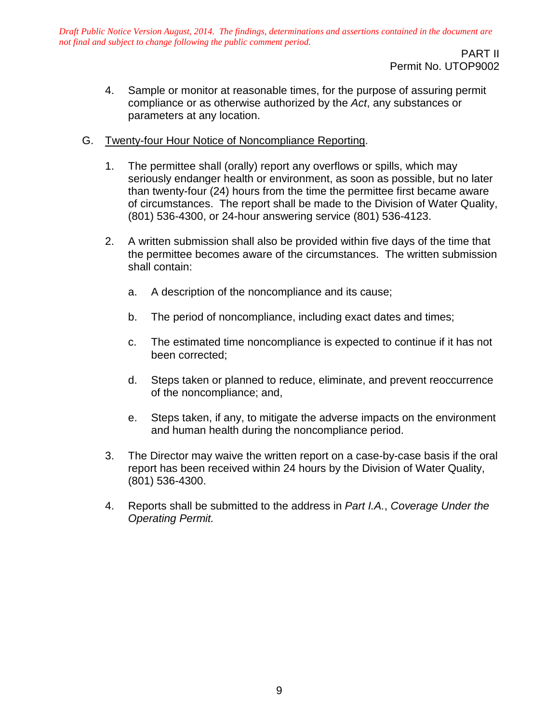PART II Permit No. UTOP9002

- 4. Sample or monitor at reasonable times, for the purpose of assuring permit compliance or as otherwise authorized by the *Act*, any substances or parameters at any location.
- G. Twenty-four Hour Notice of Noncompliance Reporting.
	- 1. The permittee shall (orally) report any overflows or spills, which may seriously endanger health or environment, as soon as possible, but no later than twenty-four (24) hours from the time the permittee first became aware of circumstances. The report shall be made to the Division of Water Quality, (801) 536-4300, or 24-hour answering service (801) 536-4123.
	- 2. A written submission shall also be provided within five days of the time that the permittee becomes aware of the circumstances. The written submission shall contain:
		- a. A description of the noncompliance and its cause;
		- b. The period of noncompliance, including exact dates and times;
		- c. The estimated time noncompliance is expected to continue if it has not been corrected;
		- d. Steps taken or planned to reduce, eliminate, and prevent reoccurrence of the noncompliance; and,
		- e. Steps taken, if any, to mitigate the adverse impacts on the environment and human health during the noncompliance period.
	- 3. The Director may waive the written report on a case-by-case basis if the oral report has been received within 24 hours by the Division of Water Quality, (801) 536-4300.
	- 4. Reports shall be submitted to the address in *Part I.A.*, *Coverage Under the Operating Permit.*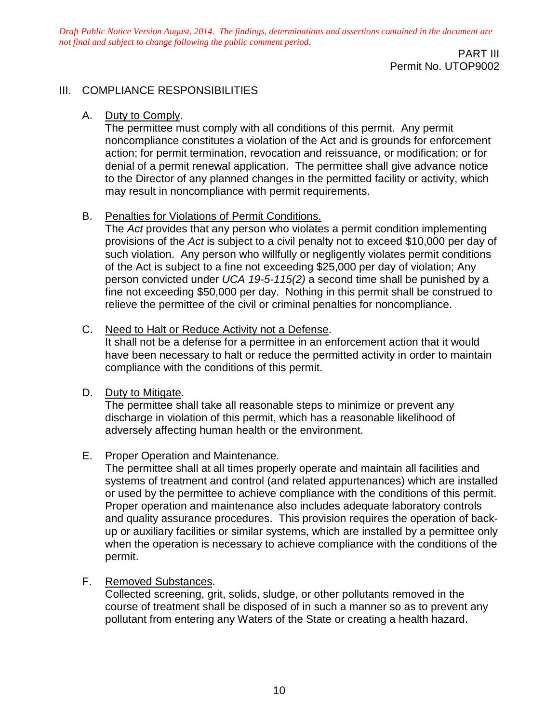> PART III Permit No. UTOP9002

#### III. COMPLIANCE RESPONSIBILITIES

#### A. Duty to Comply.

The permittee must comply with all conditions of this permit. Any permit noncompliance constitutes a violation of the Act and is grounds for enforcement action; for permit termination, revocation and reissuance, or modification; or for denial of a permit renewal application. The permittee shall give advance notice to the Director of any planned changes in the permitted facility or activity, which may result in noncompliance with permit requirements.

#### B. Penalties for Violations of Permit Conditions.

The *Act* provides that any person who violates a permit condition implementing provisions of the *Act* is subject to a civil penalty not to exceed \$10,000 per day of such violation. Any person who willfully or negligently violates permit conditions of the Act is subject to a fine not exceeding \$25,000 per day of violation; Any person convicted under *UCA 19-5-115(2)* a second time shall be punished by a fine not exceeding \$50,000 per day. Nothing in this permit shall be construed to relieve the permittee of the civil or criminal penalties for noncompliance.

#### C. Need to Halt or Reduce Activity not a Defense.

It shall not be a defense for a permittee in an enforcement action that it would have been necessary to halt or reduce the permitted activity in order to maintain compliance with the conditions of this permit.

#### D. Duty to Mitigate.

The permittee shall take all reasonable steps to minimize or prevent any discharge in violation of this permit, which has a reasonable likelihood of adversely affecting human health or the environment.

### E. Proper Operation and Maintenance.

The permittee shall at all times properly operate and maintain all facilities and systems of treatment and control (and related appurtenances) which are installed or used by the permittee to achieve compliance with the conditions of this permit. Proper operation and maintenance also includes adequate laboratory controls and quality assurance procedures. This provision requires the operation of backup or auxiliary facilities or similar systems, which are installed by a permittee only when the operation is necessary to achieve compliance with the conditions of the permit.

### F. Removed Substances.

Collected screening, grit, solids, sludge, or other pollutants removed in the course of treatment shall be disposed of in such a manner so as to prevent any pollutant from entering any Waters of the State or creating a health hazard.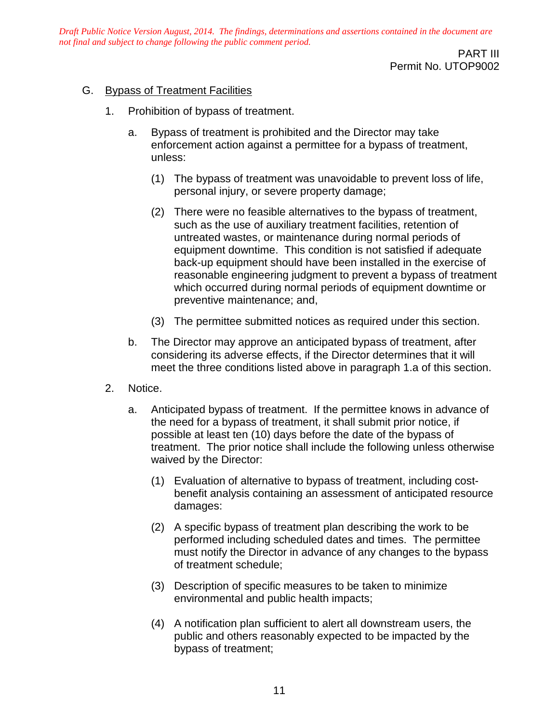> PART III Permit No. UTOP9002

#### G. Bypass of Treatment Facilities

- 1. Prohibition of bypass of treatment.
	- a. Bypass of treatment is prohibited and the Director may take enforcement action against a permittee for a bypass of treatment, unless:
		- (1) The bypass of treatment was unavoidable to prevent loss of life, personal injury, or severe property damage;
		- (2) There were no feasible alternatives to the bypass of treatment, such as the use of auxiliary treatment facilities, retention of untreated wastes, or maintenance during normal periods of equipment downtime. This condition is not satisfied if adequate back-up equipment should have been installed in the exercise of reasonable engineering judgment to prevent a bypass of treatment which occurred during normal periods of equipment downtime or preventive maintenance; and,
		- (3) The permittee submitted notices as required under this section.
	- b. The Director may approve an anticipated bypass of treatment, after considering its adverse effects, if the Director determines that it will meet the three conditions listed above in paragraph 1.a of this section.
- 2. Notice.
	- a. Anticipated bypass of treatment. If the permittee knows in advance of the need for a bypass of treatment, it shall submit prior notice, if possible at least ten (10) days before the date of the bypass of treatment. The prior notice shall include the following unless otherwise waived by the Director:
		- (1) Evaluation of alternative to bypass of treatment, including costbenefit analysis containing an assessment of anticipated resource damages:
		- (2) A specific bypass of treatment plan describing the work to be performed including scheduled dates and times. The permittee must notify the Director in advance of any changes to the bypass of treatment schedule;
		- (3) Description of specific measures to be taken to minimize environmental and public health impacts;
		- (4) A notification plan sufficient to alert all downstream users, the public and others reasonably expected to be impacted by the bypass of treatment;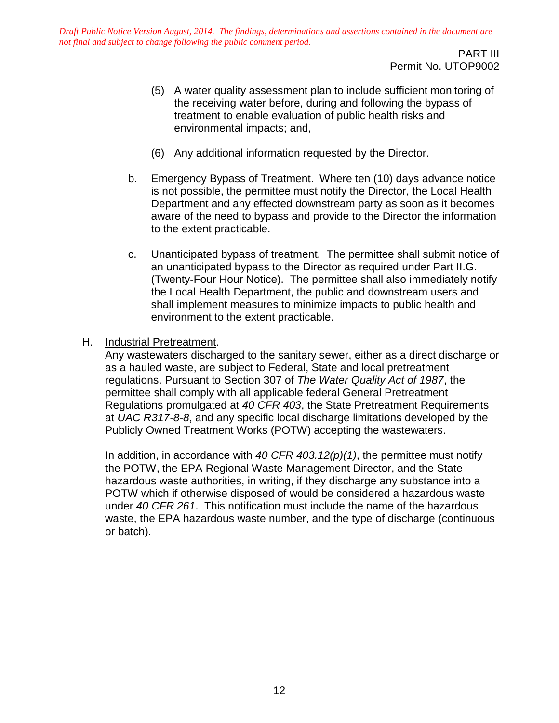PART III Permit No. UTOP9002

- (5) A water quality assessment plan to include sufficient monitoring of the receiving water before, during and following the bypass of treatment to enable evaluation of public health risks and environmental impacts; and,
- (6) Any additional information requested by the Director.
- b. Emergency Bypass of Treatment. Where ten (10) days advance notice is not possible, the permittee must notify the Director, the Local Health Department and any effected downstream party as soon as it becomes aware of the need to bypass and provide to the Director the information to the extent practicable.
- c. Unanticipated bypass of treatment. The permittee shall submit notice of an unanticipated bypass to the Director as required under Part II.G. (Twenty-Four Hour Notice). The permittee shall also immediately notify the Local Health Department, the public and downstream users and shall implement measures to minimize impacts to public health and environment to the extent practicable.
- H. Industrial Pretreatment.

Any wastewaters discharged to the sanitary sewer, either as a direct discharge or as a hauled waste, are subject to Federal, State and local pretreatment regulations. Pursuant to Section 307 of *The Water Quality Act of 1987*, the permittee shall comply with all applicable federal General Pretreatment Regulations promulgated at *40 CFR 403*, the State Pretreatment Requirements at *UAC R317-8-8*, and any specific local discharge limitations developed by the Publicly Owned Treatment Works (POTW) accepting the wastewaters.

In addition, in accordance with *40 CFR 403.12(p)(1)*, the permittee must notify the POTW, the EPA Regional Waste Management Director, and the State hazardous waste authorities, in writing, if they discharge any substance into a POTW which if otherwise disposed of would be considered a hazardous waste under *40 CFR 261*. This notification must include the name of the hazardous waste, the EPA hazardous waste number, and the type of discharge (continuous or batch).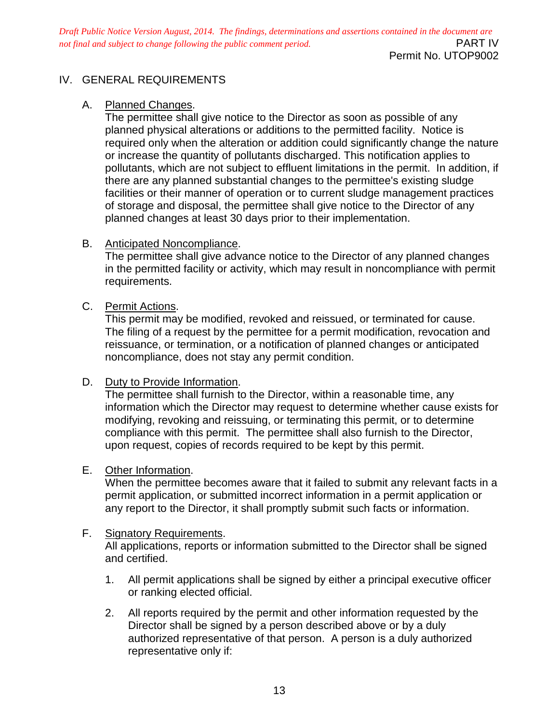Permit No. UTOP9002

# IV. GENERAL REQUIREMENTS

# A. Planned Changes.

The permittee shall give notice to the Director as soon as possible of any planned physical alterations or additions to the permitted facility. Notice is required only when the alteration or addition could significantly change the nature or increase the quantity of pollutants discharged. This notification applies to pollutants, which are not subject to effluent limitations in the permit. In addition, if there are any planned substantial changes to the permittee's existing sludge facilities or their manner of operation or to current sludge management practices of storage and disposal, the permittee shall give notice to the Director of any planned changes at least 30 days prior to their implementation.

# B. Anticipated Noncompliance.

The permittee shall give advance notice to the Director of any planned changes in the permitted facility or activity, which may result in noncompliance with permit requirements.

# C. Permit Actions.

This permit may be modified, revoked and reissued, or terminated for cause. The filing of a request by the permittee for a permit modification, revocation and reissuance, or termination, or a notification of planned changes or anticipated noncompliance, does not stay any permit condition.

### D. Duty to Provide Information.

The permittee shall furnish to the Director, within a reasonable time, any information which the Director may request to determine whether cause exists for modifying, revoking and reissuing, or terminating this permit, or to determine compliance with this permit. The permittee shall also furnish to the Director, upon request, copies of records required to be kept by this permit.

### E. Other Information.

When the permittee becomes aware that it failed to submit any relevant facts in a permit application, or submitted incorrect information in a permit application or any report to the Director, it shall promptly submit such facts or information.

### F. Signatory Requirements.

All applications, reports or information submitted to the Director shall be signed and certified.

- 1. All permit applications shall be signed by either a principal executive officer or ranking elected official.
- 2. All reports required by the permit and other information requested by the Director shall be signed by a person described above or by a duly authorized representative of that person. A person is a duly authorized representative only if: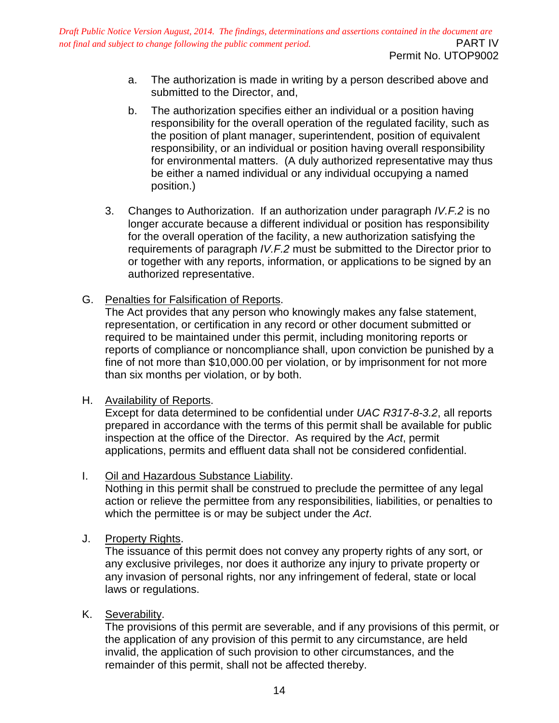- Permit No. UTOP9002
- a. The authorization is made in writing by a person described above and submitted to the Director, and,
- b. The authorization specifies either an individual or a position having responsibility for the overall operation of the regulated facility, such as the position of plant manager, superintendent, position of equivalent responsibility, or an individual or position having overall responsibility for environmental matters. (A duly authorized representative may thus be either a named individual or any individual occupying a named position.)
- 3. Changes to Authorization. If an authorization under paragraph *IV.F.2* is no longer accurate because a different individual or position has responsibility for the overall operation of the facility, a new authorization satisfying the requirements of paragraph *IV.F.2* must be submitted to the Director prior to or together with any reports, information, or applications to be signed by an authorized representative.
- G. Penalties for Falsification of Reports.

The Act provides that any person who knowingly makes any false statement, representation, or certification in any record or other document submitted or required to be maintained under this permit, including monitoring reports or reports of compliance or noncompliance shall, upon conviction be punished by a fine of not more than \$10,000.00 per violation, or by imprisonment for not more than six months per violation, or by both.

### H. Availability of Reports.

Except for data determined to be confidential under *UAC R317-8-3.2*, all reports prepared in accordance with the terms of this permit shall be available for public inspection at the office of the Director. As required by the *Act*, permit applications, permits and effluent data shall not be considered confidential.

I. Oil and Hazardous Substance Liability.

Nothing in this permit shall be construed to preclude the permittee of any legal action or relieve the permittee from any responsibilities, liabilities, or penalties to which the permittee is or may be subject under the *Act*.

J. Property Rights.

The issuance of this permit does not convey any property rights of any sort, or any exclusive privileges, nor does it authorize any injury to private property or any invasion of personal rights, nor any infringement of federal, state or local laws or regulations.

K. Severability.

The provisions of this permit are severable, and if any provisions of this permit, or the application of any provision of this permit to any circumstance, are held invalid, the application of such provision to other circumstances, and the remainder of this permit, shall not be affected thereby.